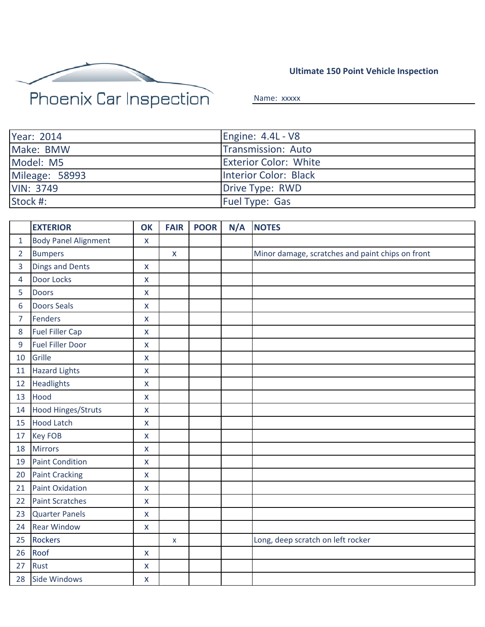

**Ultimate 150 Point Vehicle Inspection**

Name: xxxxx

| Year: 2014       | Engine: 4.4L - V8            |
|------------------|------------------------------|
| Make: BMW        | Transmission: Auto           |
| Model: M5        | <b>Exterior Color: White</b> |
| Mileage: 58993   | Interior Color: Black        |
| <b>VIN: 3749</b> | Drive Type: RWD              |
| Stock #:         | <b>Fuel Type: Gas</b>        |

|                | <b>EXTERIOR</b>             | OK                 | <b>FAIR</b>        | <b>POOR</b> | N/A | <b>NOTES</b>                                     |
|----------------|-----------------------------|--------------------|--------------------|-------------|-----|--------------------------------------------------|
| $\mathbf{1}$   | <b>Body Panel Alignment</b> | $\pmb{\mathsf{X}}$ |                    |             |     |                                                  |
| $\overline{2}$ | <b>Bumpers</b>              |                    | $\pmb{\mathsf{X}}$ |             |     | Minor damage, scratches and paint chips on front |
| 3              | <b>Dings and Dents</b>      | $\mathsf{x}$       |                    |             |     |                                                  |
| 4              | Door Locks                  | $\pmb{\mathsf{X}}$ |                    |             |     |                                                  |
| 5              | <b>Doors</b>                | $\pmb{\times}$     |                    |             |     |                                                  |
| 6              | <b>Doors Seals</b>          | $\mathsf{X}$       |                    |             |     |                                                  |
| 7              | <b>Fenders</b>              | $\pmb{\mathsf{X}}$ |                    |             |     |                                                  |
| 8              | <b>Fuel Filler Cap</b>      | $\pmb{\times}$     |                    |             |     |                                                  |
| 9              | <b>Fuel Filler Door</b>     | $\pmb{\mathsf{X}}$ |                    |             |     |                                                  |
| 10             | Grille                      | $\pmb{\mathsf{X}}$ |                    |             |     |                                                  |
| 11             | <b>Hazard Lights</b>        | $\mathsf{x}$       |                    |             |     |                                                  |
| 12             | <b>Headlights</b>           | $\pmb{\mathsf{X}}$ |                    |             |     |                                                  |
| 13             | Hood                        | $\mathsf{x}$       |                    |             |     |                                                  |
| 14             | Hood Hinges/Struts          | $\mathsf{x}$       |                    |             |     |                                                  |
| 15             | <b>Hood Latch</b>           | $\pmb{\mathsf{X}}$ |                    |             |     |                                                  |
| 17             | <b>Key FOB</b>              | $\mathsf{x}$       |                    |             |     |                                                  |
| 18             | <b>Mirrors</b>              | $\mathsf{X}$       |                    |             |     |                                                  |
| 19             | <b>Paint Condition</b>      | $\pmb{\times}$     |                    |             |     |                                                  |
| 20             | <b>Paint Cracking</b>       | $\mathsf{x}$       |                    |             |     |                                                  |
| 21             | <b>Paint Oxidation</b>      | $\pmb{\times}$     |                    |             |     |                                                  |
| 22             | <b>Paint Scratches</b>      | $\mathsf{x}$       |                    |             |     |                                                  |
| 23             | <b>Quarter Panels</b>       | $\pmb{\times}$     |                    |             |     |                                                  |
| 24             | <b>Rear Window</b>          | $\pmb{\mathsf{X}}$ |                    |             |     |                                                  |
| 25             | <b>Rockers</b>              |                    | X                  |             |     | Long, deep scratch on left rocker                |
| 26             | Roof                        | $\mathsf{X}$       |                    |             |     |                                                  |
| 27             | Rust                        | $\pmb{\mathsf{X}}$ |                    |             |     |                                                  |
| 28             | Side Windows                | $\pmb{\mathsf{X}}$ |                    |             |     |                                                  |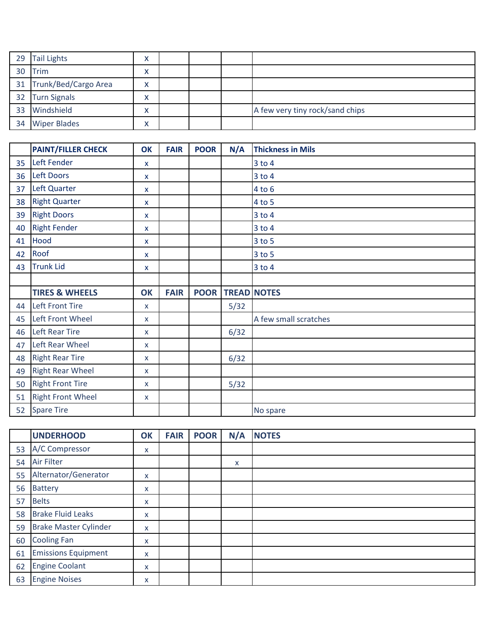| 29 Tail Lights          | v<br>Λ       |  |                                 |
|-------------------------|--------------|--|---------------------------------|
| 30 Trim                 | v<br>Λ       |  |                                 |
| 31 Trunk/Bed/Cargo Area | $\checkmark$ |  |                                 |
| 32 Turn Signals         | v<br>Λ       |  |                                 |
| 33 Windshield           | v<br>↗       |  | A few very tiny rock/sand chips |
| 34 Wiper Blades         | v<br>Λ       |  |                                 |

|    | <b>PAINT/FILLER CHECK</b> | <b>OK</b>    | <b>FAIR</b> | <b>POOR</b> | N/A  | <b>Thickness in Mils</b> |
|----|---------------------------|--------------|-------------|-------------|------|--------------------------|
| 35 | Left Fender               | X            |             |             |      | $3$ to $4$               |
| 36 | Left Doors                | X            |             |             |      | $3$ to $4$               |
| 37 | Left Quarter              | X            |             |             |      | $4$ to $6$               |
| 38 | <b>Right Quarter</b>      | X            |             |             |      | $4$ to 5                 |
| 39 | <b>Right Doors</b>        | X            |             |             |      | $3$ to $4$               |
| 40 | <b>Right Fender</b>       | X            |             |             |      | 3 to 4                   |
| 41 | Hood                      | X            |             |             |      | 3 to 5                   |
| 42 | Roof                      | x            |             |             |      | 3 to 5                   |
| 43 | <b>Trunk Lid</b>          | $\mathsf{x}$ |             |             |      | 3 to 4                   |
|    |                           |              |             |             |      |                          |
|    | <b>TIRES &amp; WHEELS</b> | OK           | <b>FAIR</b> | <b>POOR</b> |      | <b>TREAD NOTES</b>       |
| 44 | <b>Left Front Tire</b>    | X            |             |             | 5/32 |                          |
| 45 | Left Front Wheel          | X            |             |             |      | A few small scratches    |
| 46 | <b>Left Rear Tire</b>     | X            |             |             | 6/32 |                          |
| 47 | Left Rear Wheel           | X            |             |             |      |                          |
| 48 | <b>Right Rear Tire</b>    | X            |             |             | 6/32 |                          |
| 49 | <b>Right Rear Wheel</b>   | X            |             |             |      |                          |
| 50 | <b>Right Front Tire</b>   | x            |             |             | 5/32 |                          |
| 51 | <b>Right Front Wheel</b>  | $\mathsf{x}$ |             |             |      |                          |
| 52 | <b>Spare Tire</b>         |              |             |             |      | No spare                 |

|    | <b>UNDERHOOD</b>             | OK | <b>FAIR</b> | <b>POOR</b> | N/A | <b>NOTES</b> |
|----|------------------------------|----|-------------|-------------|-----|--------------|
| 53 | A/C Compressor               | X  |             |             |     |              |
| 54 | <b>Air Filter</b>            |    |             |             | x   |              |
| 55 | Alternator/Generator         | X  |             |             |     |              |
| 56 | <b>Battery</b>               | X  |             |             |     |              |
| 57 | <b>Belts</b>                 | X  |             |             |     |              |
| 58 | <b>Brake Fluid Leaks</b>     | X  |             |             |     |              |
| 59 | <b>Brake Master Cylinder</b> | X  |             |             |     |              |
| 60 | <b>Cooling Fan</b>           | X  |             |             |     |              |
| 61 | <b>Emissions Equipment</b>   | X  |             |             |     |              |
| 62 | <b>Engine Coolant</b>        | X  |             |             |     |              |
| 63 | <b>Engine Noises</b>         | X  |             |             |     |              |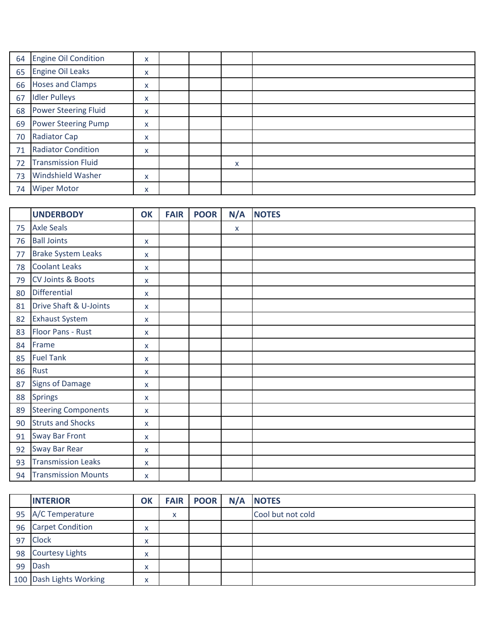| 64 | <b>Engine Oil Condition</b> | X |  |   |  |
|----|-----------------------------|---|--|---|--|
| 65 | <b>Engine Oil Leaks</b>     | X |  |   |  |
| 66 | <b>Hoses and Clamps</b>     | X |  |   |  |
| 67 | <b>Idler Pulleys</b>        | X |  |   |  |
| 68 | <b>Power Steering Fluid</b> | X |  |   |  |
| 69 | <b>Power Steering Pump</b>  | X |  |   |  |
| 70 | <b>Radiator Cap</b>         | X |  |   |  |
| 71 | <b>Radiator Condition</b>   | X |  |   |  |
| 72 | <b>Transmission Fluid</b>   |   |  | x |  |
| 73 | Windshield Washer           | X |  |   |  |
| 74 | <b>Wiper Motor</b>          | X |  |   |  |

|    | <b>UNDERBODY</b>           | OK           | <b>FAIR</b> | <b>POOR</b> | N/A          | <b>NOTES</b> |
|----|----------------------------|--------------|-------------|-------------|--------------|--------------|
| 75 | <b>Axle Seals</b>          |              |             |             | $\mathsf{X}$ |              |
| 76 | <b>Ball Joints</b>         | X            |             |             |              |              |
| 77 | <b>Brake System Leaks</b>  | X            |             |             |              |              |
| 78 | <b>Coolant Leaks</b>       | $\mathsf{x}$ |             |             |              |              |
| 79 | CV Joints & Boots          | X            |             |             |              |              |
| 80 | <b>Differential</b>        | X            |             |             |              |              |
| 81 | Drive Shaft & U-Joints     | X            |             |             |              |              |
| 82 | <b>Exhaust System</b>      | X            |             |             |              |              |
| 83 | Floor Pans - Rust          | X            |             |             |              |              |
| 84 | Frame                      | X            |             |             |              |              |
| 85 | <b>Fuel Tank</b>           | X            |             |             |              |              |
| 86 | Rust                       | X            |             |             |              |              |
| 87 | <b>Signs of Damage</b>     | X            |             |             |              |              |
| 88 | <b>Springs</b>             | X            |             |             |              |              |
| 89 | <b>Steering Components</b> | X            |             |             |              |              |
| 90 | <b>Struts and Shocks</b>   | $\mathsf{X}$ |             |             |              |              |
| 91 | <b>Sway Bar Front</b>      | X            |             |             |              |              |
| 92 | Sway Bar Rear              | X            |             |             |              |              |
| 93 | <b>Transmission Leaks</b>  | X            |             |             |              |              |
| 94 | <b>Transmission Mounts</b> | X            |             |             |              |              |

|    | <b>INTERIOR</b>         | OK                            |   | <b>FAIR POOR</b> | N/A | <b>NOTES</b>      |
|----|-------------------------|-------------------------------|---|------------------|-----|-------------------|
| 95 | A/C Temperature         |                               | x |                  |     | Cool but not cold |
| 96 | <b>Carpet Condition</b> | $\lambda$<br>⌒                |   |                  |     |                   |
| 97 | <b>Clock</b>            | $\checkmark$<br>Λ             |   |                  |     |                   |
| 98 | <b>Courtesy Lights</b>  | $\checkmark$<br>$\mathcal{L}$ |   |                  |     |                   |
| 99 | <b>Dash</b>             | $\overline{\phantom{a}}$<br>Λ |   |                  |     |                   |
|    | 100 Dash Lights Working | $\lambda$<br>́                |   |                  |     |                   |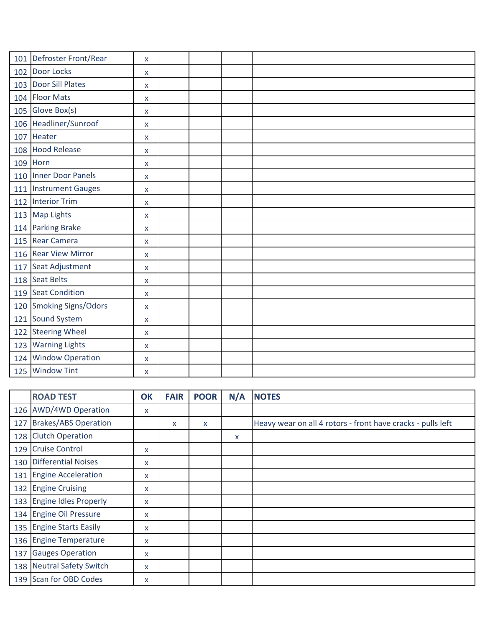|     | 101 Defroster Front/Rear   | X                  |  |  |
|-----|----------------------------|--------------------|--|--|
|     | 102 Door Locks             | X                  |  |  |
|     | 103 Door Sill Plates       | X                  |  |  |
|     | 104 Floor Mats             | X                  |  |  |
|     | 105 Glove Box(s)           | X                  |  |  |
|     | 106 Headliner/Sunroof      | $\mathsf{X}$       |  |  |
|     | 107 Heater                 | X                  |  |  |
|     | 108 Hood Release           | X                  |  |  |
|     | 109 Horn                   | X                  |  |  |
|     | 110 Inner Door Panels      | X                  |  |  |
|     | 111 Instrument Gauges      | X                  |  |  |
|     | 112 Interior Trim          | X                  |  |  |
|     | 113 Map Lights             | X                  |  |  |
|     | 114 Parking Brake          | $\pmb{\mathsf{X}}$ |  |  |
|     | 115 Rear Camera            | X                  |  |  |
|     | 116 Rear View Mirror       | X                  |  |  |
|     | 117 Seat Adjustment        | X                  |  |  |
|     | 118 Seat Belts             | X                  |  |  |
|     | 119 Seat Condition         | X                  |  |  |
| 120 | <b>Smoking Signs/Odors</b> | X                  |  |  |
|     | 121 Sound System           | X                  |  |  |
| 122 | <b>Steering Wheel</b>      | X                  |  |  |
| 123 | <b>Warning Lights</b>      | X                  |  |  |
|     | 124 Window Operation       | X                  |  |  |
|     | 125 Window Tint            | X                  |  |  |

|     | <b>ROAD TEST</b>          | OK | <b>FAIR</b> | <b>POOR</b> | N/A | <b>NOTES</b>                                                |
|-----|---------------------------|----|-------------|-------------|-----|-------------------------------------------------------------|
|     | 126 AWD/4WD Operation     | X  |             |             |     |                                                             |
|     | 127 Brakes/ABS Operation  |    | X           | X           |     | Heavy wear on all 4 rotors - front have cracks - pulls left |
|     | 128 Clutch Operation      |    |             |             | x   |                                                             |
| 129 | <b>Cruise Control</b>     | X. |             |             |     |                                                             |
|     | 130 Differential Noises   | x  |             |             |     |                                                             |
|     | 131 Engine Acceleration   | x  |             |             |     |                                                             |
|     | 132 Engine Cruising       | X  |             |             |     |                                                             |
|     | 133 Engine Idles Properly | x  |             |             |     |                                                             |
|     | 134 Engine Oil Pressure   | X  |             |             |     |                                                             |
|     | 135 Engine Starts Easily  | x  |             |             |     |                                                             |
|     | 136 Engine Temperature    | X  |             |             |     |                                                             |
| 137 | <b>Gauges Operation</b>   | x  |             |             |     |                                                             |
|     | 138 Neutral Safety Switch | X  |             |             |     |                                                             |
|     | 139 Scan for OBD Codes    | x  |             |             |     |                                                             |